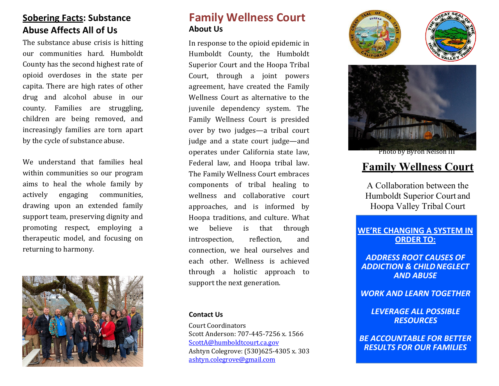# **Sobering Facts: Substance Abuse Affects All of Us**

The substance abuse crisis is hitting our communities hard. Humboldt County has the second highest rate of opioid overdoses in the state per capita. There are high rates of other drug and alcohol abuse in our county. Families are struggling, children are being removed, and increasingly families are torn apart by the cycle of substance abuse.

We understand that families heal within communities so our program aims to heal the whole family by actively engaging communities, drawing upon an extended family support team, preserving dignity and promoting respect, employing a therapeutic model, and focusing on returning to harmony.



# **Family Wellness Court About Us**

In response to the opioid epidemic in Humboldt County, the Humboldt Superior Court and the Hoopa Tribal Court, through a joint powers agreement, have created the Family Wellness Court as alternative to the juvenile dependency system. The Family Wellness Court is presided over by two judges—a tribal court judge and a state court judge—and operates under California state law, Federal law, and Hoopa tribal law. The Family Wellness Court embraces components of tribal healing to wellness and collaborative court approaches, and is informed by Hoopa traditions, and culture. What we believe is that through introspection, reflection, and connection, we heal ourselves and each other. Wellness is achieved through a holistic approach to support the next generation.

#### **Contact Us**

Court Coordinators Scott Anderson: 707-445-7256 x. 1566 [ScottA@humboldtcourt.ca.gov](mailto:ScottA@humboldtcourt.ca.gov) Ashtyn Colegrove: (530)625-4305 x. 303 [ashtyn.colegrove@gmail.com](mailto:ashtyn.colegrove@gmail.com)





Photo by Byron Nelson III

## **Family Wellness Court**

A Collaboration between the Humboldt Superior Court and Hoopa Valley Tribal Court

#### **WE'RE CHANGING A SYSTEM IN ORDER TO:**

*ADDRESS ROOT CAUSES OF ADDICTION & CHILDNEGLECT AND ABUSE*

*WORK AND LEARN TOGETHER*

*LEVERAGE ALL POSSIBLE RESOURCES*

*BE ACCOUNTABLE FOR BETTER RESULTS FOR OUR FAMILIES*